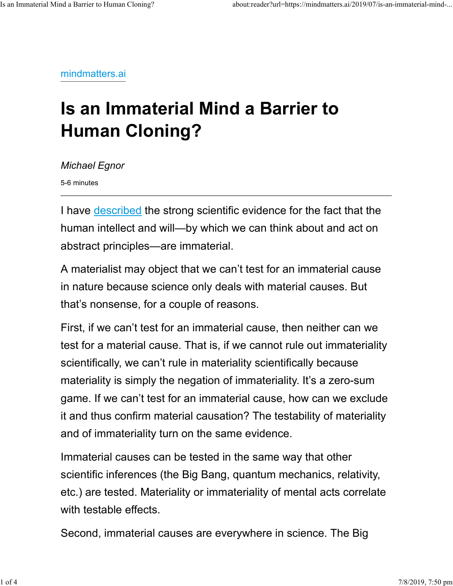mindmatters.ai

## **Is an Immaterial Mind a Barrier to Human Cloning?**

*Michael Egnor*

5-6 minutes

I have described the strong scientific evidence for the fact that the human intellect and will—by which we can think about and act on abstract principles—are immaterial.

A materialist may object that we can't test for an immaterial cause in nature because science only deals with material causes. But that's nonsense, for a couple of reasons.

First, if we can't test for an immaterial cause, then neither can we test for a material cause. That is, if we cannot rule out immateriality scientifically, we can't rule in materiality scientifically because materiality is simply the negation of immateriality. It's a zero-sum game. If we can't test for an immaterial cause, how can we exclude it and thus confirm material causation? The testability of materiality and of immateriality turn on the same evidence.

Immaterial causes can be tested in the same way that other scientific inferences (the Big Bang, quantum mechanics, relativity, etc.) are tested. Materiality or immateriality of mental acts correlate with testable effects.

Second, immaterial causes are everywhere in science. The Big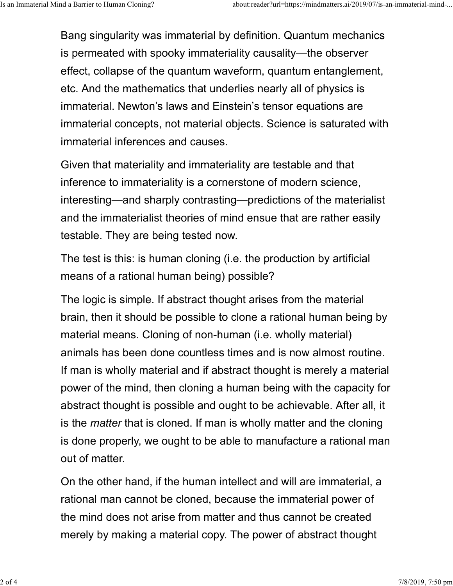Bang singularity was immaterial by definition. Quantum mechanics is permeated with spooky immateriality causality—the observer effect, collapse of the quantum waveform, quantum entanglement, etc. And the mathematics that underlies nearly all of physics is immaterial. Newton's laws and Einstein's tensor equations are immaterial concepts, not material objects. Science is saturated with immaterial inferences and causes.

Given that materiality and immateriality are testable and that inference to immateriality is a cornerstone of modern science, interesting—and sharply contrasting—predictions of the materialist and the immaterialist theories of mind ensue that are rather easily testable. They are being tested now.

The test is this: is human cloning (i.e. the production by artificial means of a rational human being) possible?

The logic is simple. If abstract thought arises from the material brain, then it should be possible to clone a rational human being by material means. Cloning of non-human (i.e. wholly material) animals has been done countless times and is now almost routine. If man is wholly material and if abstract thought is merely a material power of the mind, then cloning a human being with the capacity for abstract thought is possible and ought to be achievable. After all, it is the *matter* that is cloned. If man is wholly matter and the cloning is done properly, we ought to be able to manufacture a rational man out of matter.

On the other hand, if the human intellect and will are immaterial, a rational man cannot be cloned, because the immaterial power of the mind does not arise from matter and thus cannot be created merely by making a material copy. The power of abstract thought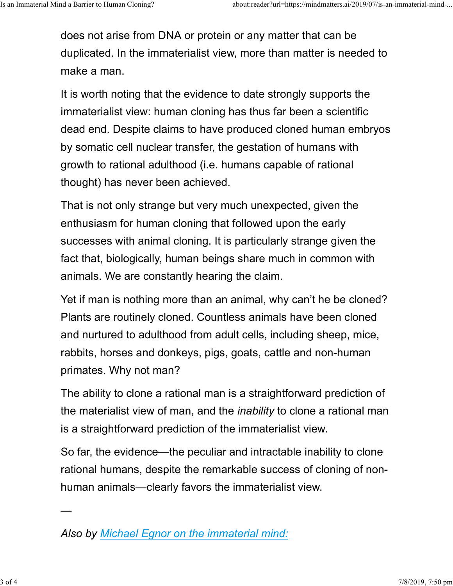does not arise from DNA or protein or any matter that can be duplicated. In the immaterialist view, more than matter is needed to make a man.

It is worth noting that the evidence to date strongly supports the immaterialist view: human cloning has thus far been a scientific dead end. Despite claims to have produced cloned human embryos by somatic cell nuclear transfer, the gestation of humans with growth to rational adulthood (i.e. humans capable of rational thought) has never been achieved.

That is not only strange but very much unexpected, given the enthusiasm for human cloning that followed upon the early successes with animal cloning. It is particularly strange given the fact that, biologically, human beings share much in common with animals. We are constantly hearing the claim.

Yet if man is nothing more than an animal, why can't he be cloned? Plants are routinely cloned. Countless animals have been cloned and nurtured to adulthood from adult cells, including sheep, mice, rabbits, horses and donkeys, pigs, goats, cattle and non-human primates. Why not man?

The ability to clone a rational man is a straightforward prediction of the materialist view of man, and the *inability* to clone a rational man is a straightforward prediction of the immaterialist view.

So far, the evidence—the peculiar and intractable inability to clone rational humans, despite the remarkable success of cloning of nonhuman animals—clearly favors the immaterialist view.

—

*Also by Michael Egnor on the immaterial mind:*